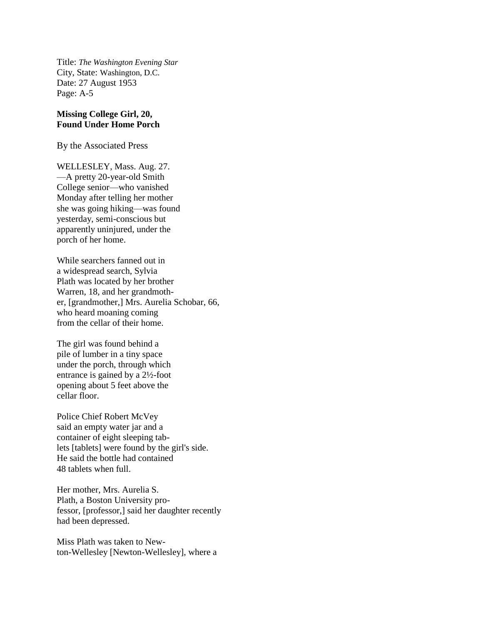Title: *The Washington Evening Star* City, State: Washington, D.C. Date: 27 August 1953 Page: A-5

## **Missing College Girl, 20, Found Under Home Porch**

By the Associated Press

WELLESLEY, Mass. Aug. 27. —A pretty 20-year-old Smith College senior—who vanished Monday after telling her mother she was going hiking—was found yesterday, semi-conscious but apparently uninjured, under the porch of her home.

While searchers fanned out in a widespread search, Sylvia Plath was located by her brother Warren, 18, and her grandmother, [grandmother,] Mrs. Aurelia Schobar, 66, who heard moaning coming from the cellar of their home.

The girl was found behind a pile of lumber in a tiny space under the porch, through which entrance is gained by a 2½-foot opening about 5 feet above the cellar floor.

Police Chief Robert McVey said an empty water jar and a container of eight sleeping tablets [tablets] were found by the girl's side. He said the bottle had contained 48 tablets when full.

Her mother, Mrs. Aurelia S. Plath, a Boston University professor, [professor,] said her daughter recently had been depressed.

Miss Plath was taken to Newton-Wellesley [Newton-Wellesley], where a